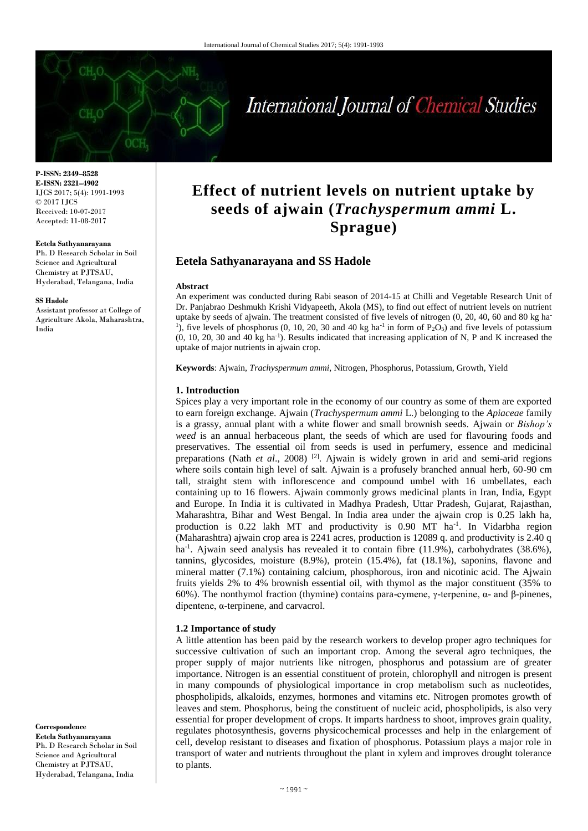

# International Journal of Chemical Studies

**P-ISSN: 2349–8528 E-ISSN: 2321–4902** IJCS 2017; 5(4): 1991-1993 © 2017 IJCS Received: 10-07-2017 Accepted: 11-08-2017

#### **Eetela Sathyanarayana**

Ph. D Research Scholar in Soil Science and Agricultural Chemistry at PJTSAU, Hyderabad, Telangana, India

#### **SS Hadole**

Assistant professor at College of Agriculture Akola, Maharashtra, India

**Effect of nutrient levels on nutrient uptake by seeds of ajwain (***Trachyspermum ammi* **L. Sprague)**

#### **Eetela Sathyanarayana and SS Hadole**

#### **Abstract**

An experiment was conducted during Rabi season of 2014-15 at Chilli and Vegetable Research Unit of Dr. Panjabrao Deshmukh Krishi Vidyapeeth, Akola (MS), to find out effect of nutrient levels on nutrient uptake by seeds of ajwain. The treatment consisted of five levels of nitrogen (0, 20, 40, 60 and 80 kg ha-<sup>1</sup>), five levels of phosphorus (0, 10, 20, 30 and 40 kg ha<sup>-1</sup> in form of P<sub>2</sub>O<sub>5</sub>) and five levels of potassium (0, 10, 20, 30 and 40 kg ha-1 ). Results indicated that increasing application of N, P and K increased the uptake of major nutrients in ajwain crop.

**Keywords**: Ajwain, *Trachyspermum ammi*, Nitrogen, Phosphorus, Potassium, Growth, Yield

#### **1. Introduction**

Spices play a very important role in the economy of our country as some of them are exported to earn foreign exchange. Ajwain (*Trachyspermum ammi* L.) belonging to the *Apiaceae* family is a grassy, annual plant with a white flower and small brownish seeds. Ajwain or *Bishop's weed* is an annual herbaceous plant, the seeds of which are used for flavouring foods and preservatives. The essential oil from seeds is used in perfumery, essence and medicinal preparations (Nath *et al.*, 2008)<sup>[2]</sup>. Ajwain is widely grown in arid and semi-arid regions where soils contain high level of salt. Ajwain is a profusely branched annual herb, 60-90 cm tall, straight stem with inflorescence and compound umbel with 16 umbellates, each containing up to 16 flowers. Ajwain commonly grows medicinal plants in Iran, India, Egypt and Europe. In India it is cultivated in Madhya Pradesh, Uttar Pradesh, Gujarat, Rajasthan, Maharashtra, Bihar and West Bengal. In India area under the ajwain crop is 0.25 lakh ha, production is 0.22 lakh MT and productivity is 0.90 MT ha<sup>-1</sup>. In Vidarbha region (Maharashtra) ajwain crop area is 2241 acres, production is 12089 q. and productivity is 2.40 q ha<sup>-1</sup>. Ajwain seed analysis has revealed it to contain fibre (11.9%), carbohydrates (38.6%), tannins, glycosides, moisture (8.9%), protein (15.4%), fat (18.1%), saponins, flavone and mineral matter (7.1%) containing calcium, phosphorous, iron and nicotinic acid. The Ajwain fruits yields 2% to 4% brownish essential oil, with thymol as the major constituent (35% to 60%). The nonthymol fraction (thymine) contains para-cymene, γ-terpenine, α- and β-pinenes, dipentene, α-terpinene, and carvacrol.

#### **1.2 Importance of study**

A little attention has been paid by the research workers to develop proper agro techniques for successive cultivation of such an important crop. Among the several agro techniques, the proper supply of major nutrients like nitrogen, phosphorus and potassium are of greater importance. Nitrogen is an essential constituent of protein, chlorophyll and nitrogen is present in many compounds of physiological importance in crop metabolism such as nucleotides, phospholipids, alkaloids, enzymes, hormones and vitamins etc. Nitrogen promotes growth of leaves and stem. Phosphorus, being the constituent of nucleic acid, phospholipids, is also very essential for proper development of crops. It imparts hardness to shoot, improves grain quality, regulates photosynthesis, governs physicochemical processes and help in the enlargement of cell, develop resistant to diseases and fixation of phosphorus. Potassium plays a major role in transport of water and nutrients throughout the plant in xylem and improves drought tolerance to plants.

**Correspondence Eetela Sathyanarayana** Ph. D Research Scholar in Soil Science and Agricultural Chemistry at PJTSAU, Hyderabad, Telangana, India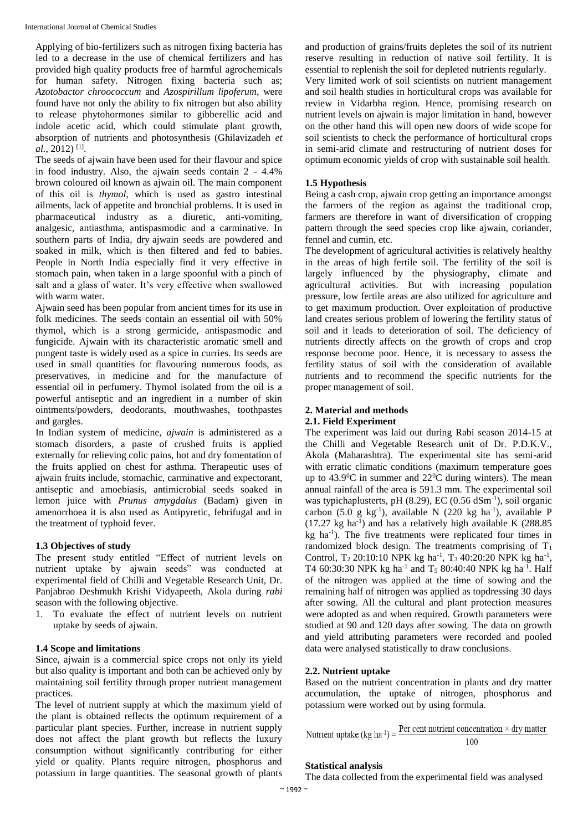Applying of bio-fertilizers such as nitrogen fixing bacteria has led to a decrease in the use of chemical fertilizers and has provided high quality products free of harmful agrochemicals for human safety. Nitrogen fixing bacteria such as; *Azotobactor chroococcum* and *Azospirillum lipoferum*, were found have not only the ability to fix nitrogen but also ability to release phytohormones similar to gibberellic acid and indole acetic acid, which could stimulate plant growth, absorption of nutrients and photosynthesis (Ghilavizadeh *et al.*, 2012) [1] .

The seeds of ajwain have been used for their flavour and spice in food industry. Also, the ajwain seeds contain 2 - 4.4% brown coloured oil known as ajwain oil. The main component of this oil is *thymol*, which is used as gastro intestinal ailments, lack of appetite and bronchial problems. It is used in pharmaceutical industry as a diuretic, anti-vomiting, analgesic, antiasthma, antispasmodic and a carminative. In southern parts of India, dry ajwain seeds are powdered and soaked in milk, which is then filtered and fed to babies. People in North India especially find it very effective in stomach pain, when taken in a large spoonful with a pinch of salt and a glass of water. It's very effective when swallowed with warm water.

Ajwain seed has been popular from ancient times for its use in folk medicines. The seeds contain an essential oil with 50% thymol, which is a strong germicide, antispasmodic and fungicide. Ajwain with its characteristic aromatic smell and pungent taste is widely used as a spice in curries. Its seeds are used in small quantities for flavouring numerous foods, as preservatives, in medicine and for the manufacture of essential oil in perfumery. Thymol isolated from the oil is a powerful antiseptic and an ingredient in a number of skin ointments/powders, deodorants, mouthwashes, toothpastes and gargles.

In Indian system of medicine, *ajwain* is administered as a stomach disorders, a paste of crushed fruits is applied externally for relieving colic pains, hot and dry fomentation of the fruits applied on chest for asthma. Therapeutic uses of ajwain fruits include, stomachic, carminative and expectorant, antiseptic and amoebiasis, antimicrobial seeds soaked in lemon juice with *Prunus amygdalus* (Badam) given in amenorrhoea it is also used as Antipyretic, febrifugal and in the treatment of typhoid fever.

## **1.3 Objectives of study**

The present study entitled "Effect of nutrient levels on nutrient uptake by ajwain seeds" was conducted at experimental field of Chilli and Vegetable Research Unit, Dr. Panjabrao Deshmukh Krishi Vidyapeeth, Akola during *rabi*  season with the following objective.

1. To evaluate the effect of nutrient levels on nutrient uptake by seeds of ajwain.

## **1.4 Scope and limitations**

Since, ajwain is a commercial spice crops not only its yield but also quality is important and both can be achieved only by maintaining soil fertility through proper nutrient management practices.

The level of nutrient supply at which the maximum yield of the plant is obtained reflects the optimum requirement of a particular plant species. Further, increase in nutrient supply does not affect the plant growth but reflects the luxury consumption without significantly contributing for either yield or quality. Plants require nitrogen, phosphorus and potassium in large quantities. The seasonal growth of plants

and production of grains/fruits depletes the soil of its nutrient reserve resulting in reduction of native soil fertility. It is essential to replenish the soil for depleted nutrients regularly. Very limited work of soil scientists on nutrient management and soil health studies in horticultural crops was available for review in Vidarbha region. Hence, promising research on nutrient levels on ajwain is major limitation in hand, however on the other hand this will open new doors of wide scope for soil scientists to check the performance of horticultural crops in semi-arid climate and restructuring of nutrient doses for optimum economic yields of crop with sustainable soil health.

## **1.5 Hypothesis**

Being a cash crop, ajwain crop getting an importance amongst the farmers of the region as against the traditional crop, farmers are therefore in want of diversification of cropping pattern through the seed species crop like ajwain, coriander, fennel and cumin, etc.

The development of agricultural activities is relatively healthy in the areas of high fertile soil. The fertility of the soil is largely influenced by the physiography, climate and agricultural activities. But with increasing population pressure, low fertile areas are also utilized for agriculture and to get maximum production. Over exploitation of productive land creates serious problem of lowering the fertility status of soil and it leads to deterioration of soil. The deficiency of nutrients directly affects on the growth of crops and crop response become poor. Hence, it is necessary to assess the fertility status of soil with the consideration of available nutrients and to recommend the specific nutrients for the proper management of soil.

# **2. Material and methods**

## **2.1. Field Experiment**

The experiment was laid out during Rabi season 2014-15 at the Chilli and Vegetable Research unit of Dr. P.D.K.V., Akola (Maharashtra). The experimental site has semi-arid with erratic climatic conditions (maximum temperature goes up to  $43.9^{\circ}$ C in summer and  $22^{\circ}$ C during winters). The mean annual rainfall of the area is 591.3 mm. The experimental soil was typichaplusterts, pH (8.29), EC (0.56 dSm<sup>-1</sup>), soil organic carbon  $(5.0 \text{ g kg}^{-1})$ , available N  $(220 \text{ kg ha}^{-1})$ , available P  $(17.27 \text{ kg} \text{ ha}^{-1})$  and has a relatively high available K  $(288.85 \text{ m})$ kg ha<sup>-1</sup>). The five treatments were replicated four times in randomized block design. The treatments comprising of  $T_1$ Control,  $T_2 20:10:10 \text{ NPK}$  kg ha<sup>-1</sup>,  $T_3 40:20:20 \text{ NPK}$  kg ha<sup>-1</sup>, T4 60:30:30 NPK kg ha<sup>-1</sup> and T<sub>5</sub> 80:40:40 NPK kg ha<sup>-1</sup>. Half of the nitrogen was applied at the time of sowing and the remaining half of nitrogen was applied as topdressing 30 days after sowing. All the cultural and plant protection measures were adopted as and when required. Growth parameters were studied at 90 and 120 days after sowing. The data on growth and yield attributing parameters were recorded and pooled data were analysed statistically to draw conclusions.

## **2.2. Nutrient uptake**

Based on the nutrient concentration in plants and dry matter accumulation, the uptake of nitrogen, phosphorus and potassium were worked out by using formula.

Nutrient uptake (kg ha<sup>-1</sup>) =  $\frac{\text{Per cent nutrient concentration} \times \text{dry matter}}{100}$ 100

## **Statistical analysis**

The data collected from the experimental field was analysed